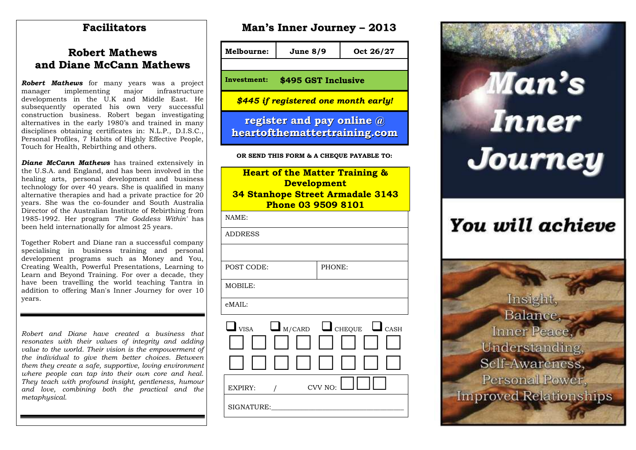#### **Facilitators**

#### **Robert Mathews and Diane McCann Mathews**

**Robert Mathews** for many years was a project manager implementing major infrastructure manager implementing major developments in the U.K and Middle East. He subsequently operated his own very successful construction business. Robert began investigating alternatives in the early 1980's and trained in many disciplines obtaining certificates in: N.L.P., D.I.S.C., Personal Profiles, 7 Habits of Highly Effective People, Touch for Health, Rebirthing and others.

*Diane McCann Mathews* has trained extensively in the U.S.A. and England, and has been involved in the healing arts, personal development and business technology for over 40 years. She is qualified in many alternative therapies and had a private practice for 20 years. She was the co-founder and South Australia Director of the Australian Institute of Rebirthing from 1985-1992. Her program *'The Goddess Within'* has been held internationally for almost 25 years.

Together Robert and Diane ran a successful company specialising in business training and personal development programs such as Money and You, Creating Wealth, Powerful Presentations, Learning to Learn and Beyond Training. For over a decade, they have been travelling the world teaching Tantra in addition to offering Man's Inner Journey for over 10 years.

*Robert and Diane have created a business that resonates with their values of integrity and adding value to the world. Their vision is the empowerment of the individual to give them better choices. Between them they create a safe, supportive, loving environment where people can tap into their own core and heal. They teach with profound insight, gentleness, humour and love, combining both the practical and the metaphysical.*

|  |  | <b>Man's Inner Journey - 2013</b> |  |
|--|--|-----------------------------------|--|
|--|--|-----------------------------------|--|

**Melbourne: June 8/9 Oct 26/27 Investment: \$495 GST Inclusive** *\$445 if registered one month early!*  **register and pay online @ heartofthemattertraining.com OR SEND THIS FORM & A CHEQUE PAYABLE TO: Heart of the Matter Training & Development 34 Stanhope Street Armadale 3143 Phone 03 9509 8101** NAME: ADDRESS POST CODE: PHONE: MOBILE: eMAIL:  $\Box$ <sub>W/CARD</sub>  $\Box$ <sub>CHEQUE</sub>  $\Box$ <sub>CASH</sub> 00000000 00000000 EXPIRY:  $/$  CVV NO:  $\Box$  $SIGNATURE:$ 



# You will achieve